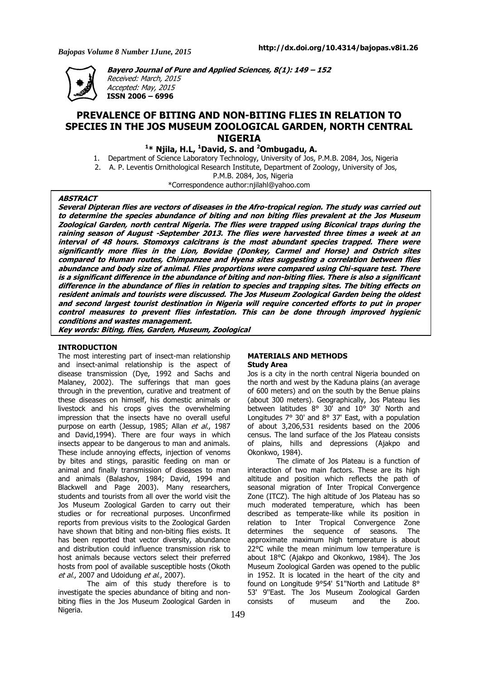*Bajopas Volume 8 Number 1June, 2015*



**Bayero Journal of Pure and Applied Sciences, 8(1): 149 – 152**  Received: March, 2015 Accepted: May, 2015 **ISSN 2006 – 6996** 

# **PREVALENCE OF BITING AND NON-BITING FLIES IN RELATION TO SPECIES IN THE JOS MUSEUM ZOOLOGICAL GARDEN, NORTH CENTRAL NIGERIA**

**<sup>1</sup>\* Njila, H.L, <sup>1</sup>David, S. and <sup>2</sup>Ombugadu, A.**

1. Department of Science Laboratory Technology, University of Jos, P.M.B. 2084, Jos, Nigeria

2. A. P. Leventis Ornithological Research Institute, Department of Zoology, University of Jos,

P.M.B. 2084, Jos, Nigeria

\*Correspondence author:njilahl@yahoo.com

# **ABSTRACT**

**Several Dipteran flies are vectors of diseases in the Afro-tropical region. The study was carried out to determine the species abundance of biting and non biting flies prevalent at the Jos Museum Zoological Garden, north central Nigeria. The flies were trapped using Biconical traps during the raining season of August -September 2013. The flies were harvested three times a week at an interval of 48 hours. Stomoxys calcitrans is the most abundant species trapped. There were significantly more flies in the Lion, Bovidae (Donkey, Carmel and Horse) and Ostrich sites compared to Human routes, Chimpanzee and Hyena sites suggesting a correlation between flies abundance and body size of animal. Flies proportions were compared using Chi-square test. There is a significant difference in the abundance of biting and non-biting flies. There is also a significant difference in the abundance of flies in relation to species and trapping sites. The biting effects on resident animals and tourists were discussed. The Jos Museum Zoological Garden being the oldest and second largest tourist destination in Nigeria will require concerted efforts to put in proper control measures to prevent flies infestation. This can be done through improved hygienic conditions and wastes management.** 

**Key words: Biting, flies, Garden, Museum, Zoological** 

# **INTRODUCTION**

The most interesting part of insect-man relationship and insect-animal relationship is the aspect of disease transmission (Dye, 1992 and Sachs and Malaney, 2002). The sufferings that man goes through in the prevention, curative and treatment of these diseases on himself, his domestic animals or livestock and his crops gives the overwhelming impression that the insects have no overall useful purpose on earth (Jessup, 1985; Allan et al., 1987 and David,1994). There are four ways in which insects appear to be dangerous to man and animals. These include annoying effects, injection of venoms by bites and stings, parasitic feeding on man or animal and finally transmission of diseases to man and animals (Balashov, 1984; David, 1994 and Blackwell and Page 2003). Many researchers, students and tourists from all over the world visit the Jos Museum Zoological Garden to carry out their studies or for recreational purposes. Unconfirmed reports from previous visits to the Zoological Garden have shown that biting and non-biting flies exists. It has been reported that vector diversity, abundance and distribution could influence transmission risk to host animals because vectors select their preferred hosts from pool of available susceptible hosts (Okoth et al., 2007 and Udoidung et al., 2007).

The aim of this study therefore is to investigate the species abundance of biting and nonbiting flies in the Jos Museum Zoological Garden in Nigeria.

#### **MATERIALS AND METHODS Study Area**

Jos is a city in the north central Nigeria bounded on the north and west by the Kaduna plains (an average of 600 meters) and on the south by the Benue plains (about 300 meters). Geographically, Jos Plateau lies between latitudes 8° 30' and 10° 30' North and Longitudes 7° 30' and 8° 37' East, with a population of about 3,206,531 residents based on the 2006 census. The land surface of the Jos Plateau consists of plains, hills and depressions (Ajakpo and Okonkwo, 1984).

 The climate of Jos Plateau is a function of interaction of two main factors. These are its high altitude and position which reflects the path of seasonal migration of Inter Tropical Convergence Zone (ITCZ). The high altitude of Jos Plateau has so much moderated temperature, which has been described as temperate-like while its position in relation to Inter Tropical Convergence Zone determines the sequence of seasons. The approximate maximum high temperature is about 22°C while the mean minimum low temperature is about 18°C (Ajakpo and Okonkwo, 1984). The Jos Museum Zoological Garden was opened to the public in 1952. It is located in the heart of the city and found on Longitude 9°54' 51''North and Latitude 8° 53' 9''East. The Jos Museum Zoological Garden consists of museum and the Zoo.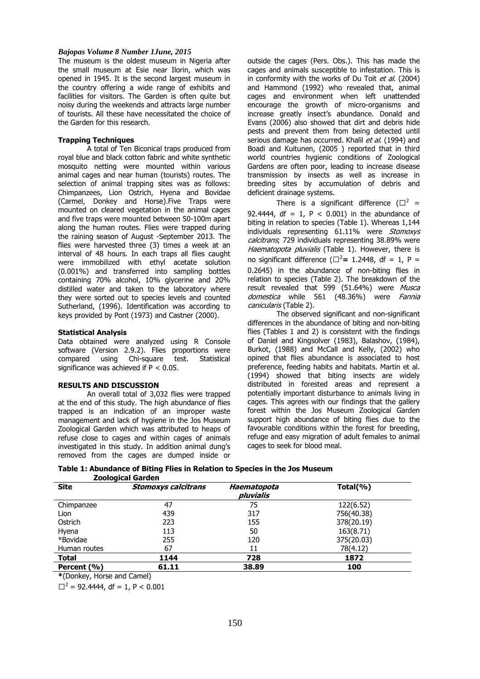#### *Bajopas Volume 8 Number 1June, 2015*

The museum is the oldest museum in Nigeria after the small museum at Esie near Ilorin, which was opened in 1945. It is the second largest museum in the country offering a wide range of exhibits and facilities for visitors. The Garden is often quite but noisy during the weekends and attracts large number of tourists. All these have necessitated the choice of the Garden for this research.

## **Trapping Techniques**

A total of Ten Biconical traps produced from royal blue and black cotton fabric and white synthetic mosquito netting were mounted within various animal cages and near human (tourists) routes. The selection of animal trapping sites was as follows: Chimpanzees, Lion Ostrich, Hyena and Bovidae (Carmel, Donkey and Horse).Five Traps were mounted on cleared vegetation in the animal cages and five traps were mounted between 50-100m apart along the human routes. Flies were trapped during the raining season of August -September 2013. The flies were harvested three (3) times a week at an interval of 48 hours. In each traps all flies caught were immobilized with ethyl acetate solution (0.001%) and transferred into sampling bottles containing 70% alcohol, 10% glycerine and 20% distilled water and taken to the laboratory where they were sorted out to species levels and counted Sutherland, (1996). Identification was according to keys provided by Pont (1973) and Castner (2000).

# **Statistical Analysis**

Data obtained were analyzed using R Console software (Version 2.9.2). Flies proportions were compared using Chi-square test. Statistical significance was achieved if P < 0.05.

### **RESULTS AND DISCUSSION**

An overall total of 3,032 flies were trapped at the end of this study. The high abundance of flies trapped is an indication of an improper waste management and lack of hygiene in the Jos Museum Zoological Garden which was attributed to heaps of refuse close to cages and within cages of animals investigated in this study. In addition animal dung's removed from the cages are dumped inside or

outside the cages (Pers. Obs.). This has made the cages and animals susceptible to infestation. This is in conformity with the works of Du Toit et al. (2004) and Hammond (1992) who revealed that, animal cages and environment when left unattended encourage the growth of micro-organisms and increase greatly insect's abundance. Donald and Evans (2006) also showed that dirt and debris hide pests and prevent them from being detected until serious damage has occurred. Khalil et al. (1994) and Boadi and Kuitunen, (2005 ) reported that in third world countries hygienic conditions of Zoological Gardens are often poor, leading to increase disease transmission by insects as well as increase in breeding sites by accumulation of debris and deficient drainage systems.

There is a significant difference ( $\square^2$  = 92.4444, df = 1,  $P < 0.001$ ) in the abundance of biting in relation to species (Table 1). Whereas 1,144 individuals representing 61.11% were Stomoxys calcitrans; 729 individuals representing 38.89% were Haematopota pluvialis (Table 1). However, there is no significant difference  $(\square^2 = 1.2448, df = 1, P =$ 0.2645) in the abundance of non-biting flies in relation to species (Table 2). The breakdown of the result revealed that 599 (51.64%) were Musca domestica while 561 (48.36%) were Fannia canicularis (Table 2).

The observed significant and non-significant differences in the abundance of biting and non-biting flies (Tables 1 and 2) is consistent with the findings of Daniel and Kingsolver (1983), Balashov, (1984), Burkot, (1988) and McCall and Kelly, (2002) who opined that flies abundance is associated to host preference, feeding habits and habitats. Martin et al. (1994) showed that biting insects are widely distributed in forested areas and represent a potentially important disturbance to animals living in cages. This agrees with our findings that the gallery forest within the Jos Museum Zoological Garden support high abundance of biting flies due to the favourable conditions within the forest for breeding, refuge and easy migration of adult females to animal cages to seek for blood meal.

| Table 1: Abundance of Biting Flies in Relation to Species in the Jos Museum |  |  |
|-----------------------------------------------------------------------------|--|--|
| <b>Zoological Garden</b>                                                    |  |  |

| <b>Site</b>  | <b>Stomoxys calcitrans</b> | Haematopota<br>pluvialis | Total $(\% )$ |
|--------------|----------------------------|--------------------------|---------------|
| Chimpanzee   | 47                         | 75                       | 122(6.52)     |
| Lion         | 439                        | 317                      | 756(40.38)    |
| Ostrich      | 223                        | 155                      | 378(20.19)    |
| Hyena        | 113                        | 50                       | 163(8.71)     |
| *Bovidae     | 255                        | 120                      | 375(20.03)    |
| Human routes | 67                         | 11                       | 78(4.12)      |
| <b>Total</b> | 1144                       | 728                      | 1872          |
| Percent (%)  | 61.11                      | 38.89                    | 100           |

**\***(Donkey, Horse and Camel)

 $\square^2$  = 92.4444, df = 1, P < 0.001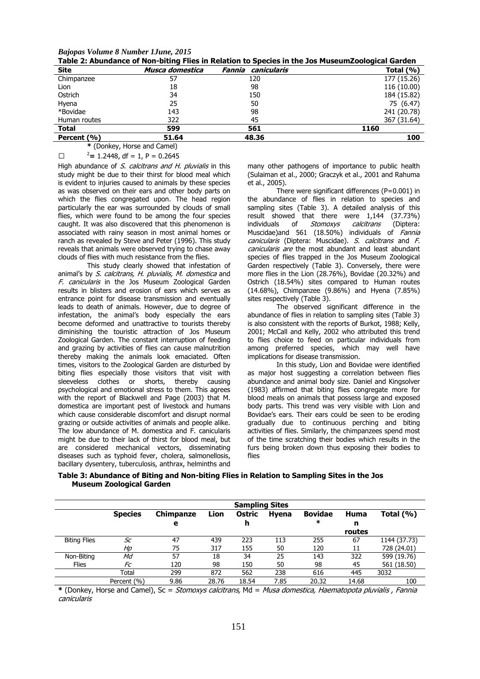| Table 2: Abundance of Non-biting Flies in Relation to Species in the Jos MuseumZoological Garden |                 |                    |             |  |
|--------------------------------------------------------------------------------------------------|-----------------|--------------------|-------------|--|
| Site                                                                                             | Musca domestica | Fannia canicularis | Total $(%)$ |  |
| Chimpanzee                                                                                       | 57              | 120                | 177 (15.26) |  |
| Lion                                                                                             | 18              | 98                 | 116 (10.00) |  |
| Ostrich                                                                                          | 34              | 150                | 184 (15.82) |  |
| Hyena                                                                                            | 25              | 50                 | 75 (6.47)   |  |
| *Bovidae                                                                                         | 143             | 98                 | 241 (20.78) |  |
| Human routes                                                                                     | 322             | 45                 | 367 (31.64) |  |
| <b>Total</b>                                                                                     | 599             | 561                | 1160        |  |
| Percent (%)                                                                                      | 51.64           | 48.36              | 100         |  |

*Bajopas Volume 8 Number 1June, 2015*

**\*** (Donkey, Horse and Camel)

 $\Box$  <sup>2</sup> = 1.2448, df = 1, P = 0.2645

High abundance of S. calcitrans and H. pluvialis in this study might be due to their thirst for blood meal which is evident to injuries caused to animals by these species as was observed on their ears and other body parts on which the flies congregated upon. The head region particularly the ear was surrounded by clouds of small flies, which were found to be among the four species caught. It was also discovered that this phenomenon is associated with rainy season in most animal homes or ranch as revealed by Steve and Peter (1996). This study reveals that animals were observed trying to chase away clouds of flies with much resistance from the flies.

This study clearly showed that infestation of animal's by S. calcitrans, H. pluvialis, M. domestica and F. canicularis in the Jos Museum Zoological Garden results in blisters and erosion of ears which serves as entrance point for disease transmission and eventually leads to death of animals. However, due to degree of infestation, the animal's body especially the ears become deformed and unattractive to tourists thereby diminishing the touristic attraction of Jos Museum Zoological Garden. The constant interruption of feeding and grazing by activities of flies can cause malnutrition thereby making the animals look emaciated. Often times, visitors to the Zoological Garden are disturbed by biting flies especially those visitors that visit with sleeveless clothes or shorts, thereby causing psychological and emotional stress to them. This agrees with the report of Blackwell and Page (2003) that M. domestica are important pest of livestock and humans which cause considerable discomfort and disrupt normal grazing or outside activities of animals and people alike. The low abundance of M. domestica and F. canicularis might be due to their lack of thirst for blood meal, but are considered mechanical vectors, disseminating diseases such as typhoid fever, cholera, salmonellosis, bacillary dysentery, tuberculosis, anthrax, helminths and many other pathogens of importance to public health (Sulaiman et al., 2000; Graczyk et al., 2001 and Rahuma et al., 2005).

There were significant differences  $(P=0.001)$  in the abundance of flies in relation to species and sampling sites (Table 3). A detailed analysis of this result showed that there were 1,144 (37.73%) individuals of *Stomoxys calcitrans* (Diptera: Muscidae)and 561 (18.50%) individuals of Fannia canicularis (Diptera: Muscidae). S. calcitrans and F. canicularis are the most abundant and least abundant species of flies trapped in the Jos Museum Zoological Garden respectively (Table 3). Conversely, there were more flies in the Lion (28.76%), Bovidae (20.32%) and Ostrich (18.54%) sites compared to Human routes (14.68%), Chimpanzee (9.86%) and Hyena (7.85%) sites respectively (Table 3).

The observed significant difference in the abundance of flies in relation to sampling sites (Table 3) is also consistent with the reports of Burkot, 1988; Kelly, 2001; McCall and Kelly, 2002 who attributed this trend to flies choice to feed on particular individuals from among preferred species, which may well have implications for disease transmission.

In this study, Lion and Bovidae were identified as major host suggesting a correlation between flies abundance and animal body size. Daniel and Kingsolver (1983) affirmed that biting flies congregate more for blood meals on animals that possess large and exposed body parts. This trend was very visible with Lion and Bovidae's ears. Their ears could be seen to be eroding gradually due to continuous perching and biting activities of flies. Similarly, the chimpanzees spend most of the time scratching their bodies which results in the furs being broken down thus exposing their bodies to flies

|                                 | Table 3: Abundance of Biting and Non-biting Flies in Relation to Sampling Sites in the Jos |
|---------------------------------|--------------------------------------------------------------------------------------------|
| <b>Museum Zoological Garden</b> |                                                                                            |

|                     | <b>Sampling Sites</b> |           |       |               |       |                |             |              |
|---------------------|-----------------------|-----------|-------|---------------|-------|----------------|-------------|--------------|
|                     | <b>Species</b>        | Chimpanze | Lion  | <b>Ostric</b> | Hyena | <b>Bovidae</b> | <b>Huma</b> | Total (%)    |
|                     |                       | е         |       | h             |       | ∗              | n<br>routes |              |
| <b>Biting Flies</b> | Sс                    | 47        | 439   | 223           | 113   | 255            | 67          | 1144 (37.73) |
|                     | Hp                    | 75        | 317   | 155           | 50    | 120            | 11          | 728 (24.01)  |
| Non-Biting          | Мd                    | 57        | 18    | 34            | 25    | 143            | 322         | 599 (19.76)  |
| <b>Flies</b>        | Fс                    | 120       | 98    | 150           | 50    | 98             | 45          | 561 (18.50)  |
|                     | Total                 | 299       | 872   | 562           | 238   | 616            | 445         | 3032         |
|                     | Percent (%)           | 9.86      | 28.76 | 18.54         | 7.85  | 20.32          | 14.68       | 100          |

**\*** (Donkey, Horse and Camel), Sc = Stomoxys calcitrans, Md = Musa domestica, Haematopota pluvialis , Fannia canicularis